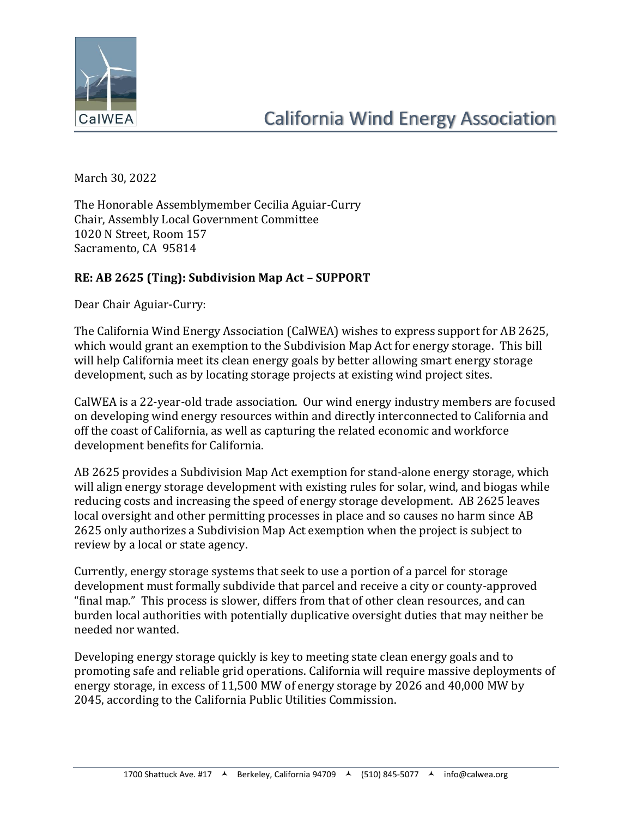

March 30, 2022

The Honorable Assemblymember Cecilia Aguiar-Curry Chair, Assembly Local Government Committee 1020 N Street, Room 157 Sacramento, CA 95814

## **RE: AB 2625 (Ting): Subdivision Map Act – SUPPORT**

Dear Chair Aguiar-Curry:

The California Wind Energy Association (CalWEA) wishes to express support for AB 2625, which would grant an exemption to the Subdivision Map Act for energy storage. This bill will help California meet its clean energy goals by better allowing smart energy storage development, such as by locating storage projects at existing wind project sites.

CalWEA is a 22-year-old trade association. Our wind energy industry members are focused on developing wind energy resources within and directly interconnected to California and off the coast of California, as well as capturing the related economic and workforce development benefits for California.

AB 2625 provides a Subdivision Map Act exemption for stand-alone energy storage, which will align energy storage development with existing rules for solar, wind, and biogas while reducing costs and increasing the speed of energy storage development. AB 2625 leaves local oversight and other permitting processes in place and so causes no harm since AB 2625 only authorizes a Subdivision Map Act exemption when the project is subject to review by a local or state agency.

Currently, energy storage systems that seek to use a portion of a parcel for storage development must formally subdivide that parcel and receive a city or county-approved "final map." This process is slower, differs from that of other clean resources, and can burden local authorities with potentially duplicative oversight duties that may neither be needed nor wanted.

Developing energy storage quickly is key to meeting state clean energy goals and to promoting safe and reliable grid operations. California will require massive deployments of energy storage, in excess of 11,500 MW of energy storage by 2026 and 40,000 MW by 2045, according to the California Public Utilities Commission.